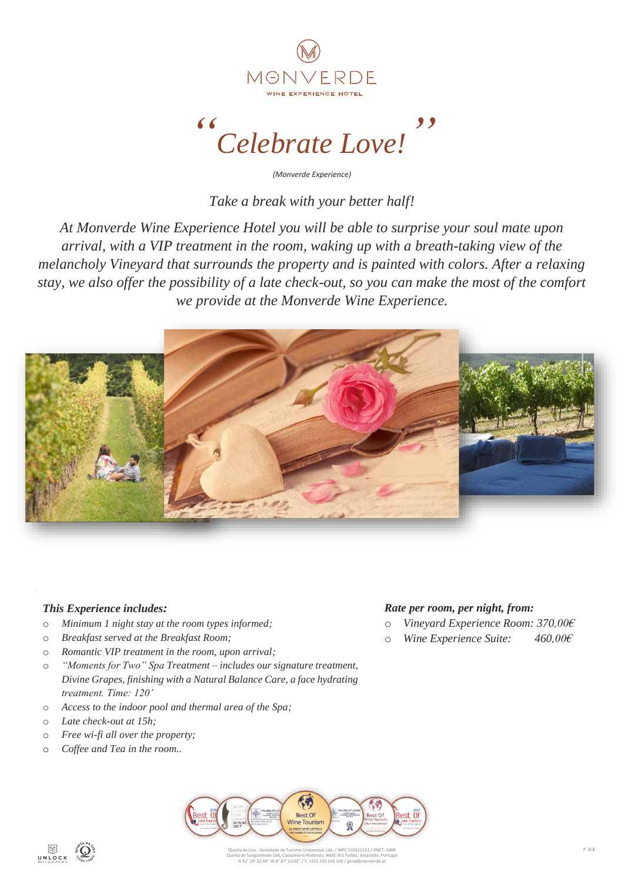

*" Celebrate Love! "*

*(Monverde Experience)*

*Take a break with your better half!*

*At Monverde Wine Experience Hotel you will be able to surprise your soul mate upon arrival, with a VIP treatment in the room, waking up with a breath-taking view of the melancholy Vineyard that surrounds the property and is painted with colors. After a relaxing stay, we also offer the possibility of a late check-out, so you can make the most of the comfort we provide at the Monverde Wine Experience.*



## *This Experience includes:*

- o *Minimum 1 night stay at the room types informed;*
- o *Breakfast served at the Breakfast Room;*
- o *Romantic VIP treatment in the room, upon arrival;*
- o *"Moments for Two" Spa Treatment – includes our signature treatment, Divine Grapes, finishing with a Natural Balance Care, a face hydrating treatment. Time: 120'*
- o *Access to the indoor pool and thermal area of the Spa;*
- o *Late check-out at 15h;*
- o *Free wi-fi all over the property;*
- o *Coffee and Tea in the room..*



- o *Vineyard Experience Room: 370,00€*
- o *Wine Experience Suite: 460,00€*